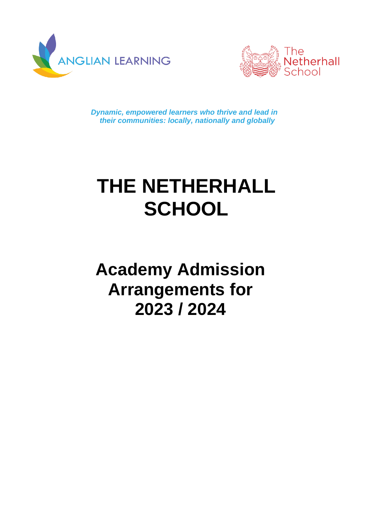



*Dynamic, empowered learners who thrive and lead in their communities: locally, nationally and globally*

# **THE NETHERHALL SCHOOL**

# **Academy Admission Arrangements for 2023 / 2024**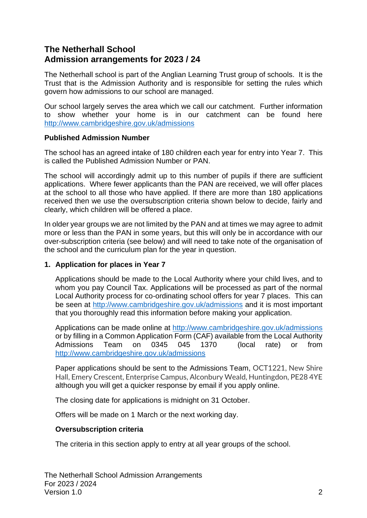# **The Netherhall School Admission arrangements for 2023 / 24**

The Netherhall school is part of the Anglian Learning Trust group of schools. It is the Trust that is the Admission Authority and is responsible for setting the rules which govern how admissions to our school are managed.

Our school largely serves the area which we call our catchment. Further information to show whether your home is in our catchment can be found here <http://www.cambridgeshire.gov.uk/admissions>

#### **Published Admission Number**

The school has an agreed intake of 180 children each year for entry into Year 7. This is called the Published Admission Number or PAN.

The school will accordingly admit up to this number of pupils if there are sufficient applications. Where fewer applicants than the PAN are received, we will offer places at the school to all those who have applied. If there are more than 180 applications received then we use the oversubscription criteria shown below to decide, fairly and clearly, which children will be offered a place.

In older year groups we are not limited by the PAN and at times we may agree to admit more or less than the PAN in some years, but this will only be in accordance with our over-subscription criteria (see below) and will need to take note of the organisation of the school and the curriculum plan for the year in question.

# **1. Application for places in Year 7**

Applications should be made to the Local Authority where your child lives, and to whom you pay Council Tax. Applications will be processed as part of the normal Local Authority process for co-ordinating school offers for year 7 places. This can be seen at <http://www.cambridgeshire.gov.uk/admissions> and it is most important that you thoroughly read this information before making your application.

Applications can be made online at<http://www.cambridgeshire.gov.uk/admissions> or by filling in a Common Application Form (CAF) available from the Local Authority Admissions Team on 0345 045 1370 (local rate) or from <http://www.cambridgeshire.gov.uk/admissions>

Paper applications should be sent to the Admissions Team, OCT1221, New Shire Hall, Emery Crescent, Enterprise Campus, Alconbury Weald, Huntingdon, PE28 4YE although you will get a quicker response by email if you apply online.

The closing date for applications is midnight on 31 October.

Offers will be made on 1 March or the next working day.

# **Oversubscription criteria**

The criteria in this section apply to entry at all year groups of the school.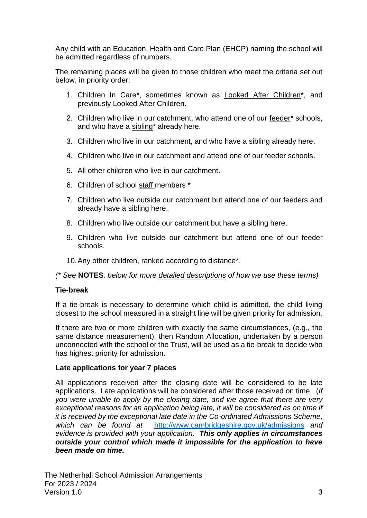Any child with an Education, Health and Care Plan (EHCP) naming the school will be admitted regardless of numbers.

The remaining places will be given to those children who meet the criteria set out below, in priority order:

- 1. Children In Care\*, sometimes known as Looked After Children\*, and previously Looked After Children.
- 2. Children who live in our catchment, who attend one of our feeder\* schools, and who have a sibling\* already here.
- 3. Children who live in our catchment, and who have a sibling already here.
- 4. Children who live in our catchment and attend one of our feeder schools.
- 5. All other children who live in our catchment.
- 6. Children of school staff members \*
- 7. Children who live outside our catchment but attend one of our feeders and already have a sibling here.
- 8. Children who live outside our catchment but have a sibling here.
- 9. Children who live outside our catchment but attend one of our feeder schools.
- 10.Any other children, ranked according to distance\*.

*(\* See* **NOTES***, below for more detailed descriptions of how we use these terms)*

#### **Tie-break**

If a tie-break is necessary to determine which child is admitted, the child living closest to the school measured in a straight line will be given priority for admission.

If there are two or more children with exactly the same circumstances, (e.g., the same distance measurement), then Random Allocation, undertaken by a person unconnected with the school or the Trust, will be used as a tie-break to decide who has highest priority for admission.

#### **Late applications for year 7 places**

All applications received after the closing date will be considered to be late applications. Late applications will be considered after those received on time. (*If you were unable to apply by the closing date, and we agree that there are very*  exceptional reasons for an application being late, it will be considered as on time if *it is received by the exceptional late date in the Co-ordinated Admissions Scheme, which can be found at* <http://www.cambridgeshire.gov.uk/admissions> *and evidence is provided with your application. This only applies in circumstances outside your control which made it impossible for the application to have been made on time.*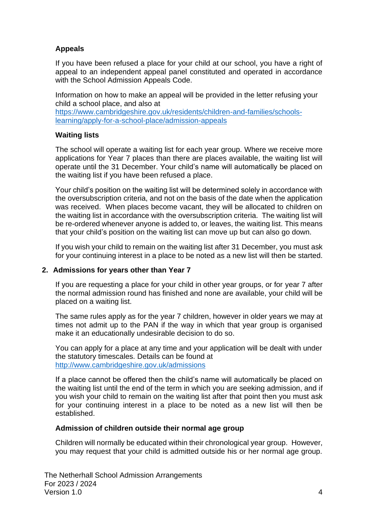# **Appeals**

If you have been refused a place for your child at our school, you have a right of appeal to an independent appeal panel constituted and operated in accordance with the School Admission Appeals Code.

Information on how to make an appeal will be provided in the letter refusing your child a school place, and also at

[https://www.cambridgeshire.gov.uk/residents/children-and-families/schools](https://www.cambridgeshire.gov.uk/residents/children-and-families/schools-learning/apply-for-a-school-place/admission-appeals)[learning/apply-for-a-school-place/admission-appeals](https://www.cambridgeshire.gov.uk/residents/children-and-families/schools-learning/apply-for-a-school-place/admission-appeals)

#### **Waiting lists**

The school will operate a waiting list for each year group. Where we receive more applications for Year 7 places than there are places available, the waiting list will operate until the 31 December. Your child's name will automatically be placed on the waiting list if you have been refused a place.

Your child's position on the waiting list will be determined solely in accordance with the oversubscription criteria, and not on the basis of the date when the application was received. When places become vacant, they will be allocated to children on the waiting list in accordance with the oversubscription criteria. The waiting list will be re-ordered whenever anyone is added to, or leaves, the waiting list. This means that your child's position on the waiting list can move up but can also go down.

If you wish your child to remain on the waiting list after 31 December, you must ask for your continuing interest in a place to be noted as a new list will then be started.

#### **2. Admissions for years other than Year 7**

If you are requesting a place for your child in other year groups, or for year 7 after the normal admission round has finished and none are available, your child will be placed on a waiting list.

The same rules apply as for the year 7 children, however in older years we may at times not admit up to the PAN if the way in which that year group is organised make it an educationally undesirable decision to do so.

You can apply for a place at any time and your application will be dealt with under the statutory timescales. Details can be found at <http://www.cambridgeshire.gov.uk/admissions>

If a place cannot be offered then the child's name will automatically be placed on the waiting list until the end of the term in which you are seeking admission, and if you wish your child to remain on the waiting list after that point then you must ask for your continuing interest in a place to be noted as a new list will then be established.

#### **Admission of children outside their normal age group**

Children will normally be educated within their chronological year group. However, you may request that your child is admitted outside his or her normal age group.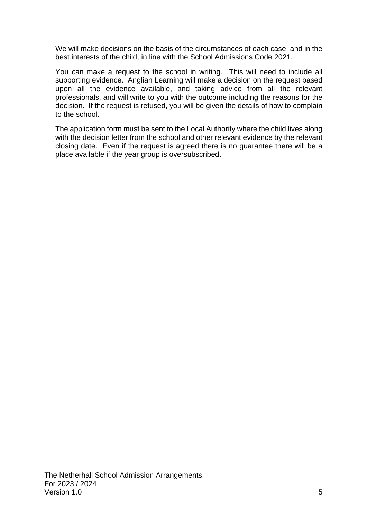We will make decisions on the basis of the circumstances of each case, and in the best interests of the child, in line with the School Admissions Code 2021.

You can make a request to the school in writing. This will need to include all supporting evidence. Anglian Learning will make a decision on the request based upon all the evidence available, and taking advice from all the relevant professionals, and will write to you with the outcome including the reasons for the decision. If the request is refused, you will be given the details of how to complain to the school.

The application form must be sent to the Local Authority where the child lives along with the decision letter from the school and other relevant evidence by the relevant closing date. Even if the request is agreed there is no guarantee there will be a place available if the year group is oversubscribed.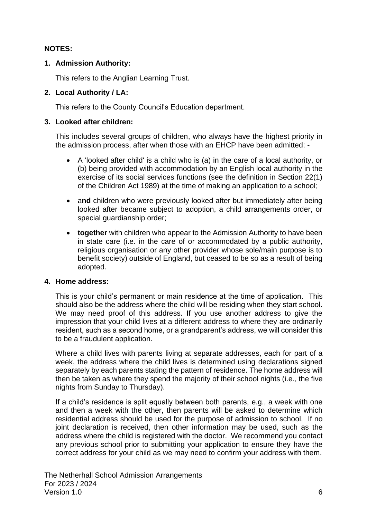# **NOTES:**

#### **1. Admission Authority:**

This refers to the Anglian Learning Trust.

#### **2. Local Authority / LA:**

This refers to the County Council's Education department.

#### **3. Looked after children:**

This includes several groups of children, who always have the highest priority in the admission process, after when those with an EHCP have been admitted: -

- A 'looked after child' is a child who is (a) in the care of a local authority, or (b) being provided with accommodation by an English local authority in the exercise of its social services functions (see the definition in Section 22(1) of the Children Act 1989) at the time of making an application to a school;
- and children who were previously looked after but immediately after being looked after became subject to adoption, a child arrangements order, or special guardianship order;
- **together** with children who appear to the Admission Authority to have been in state care (i.e. in the care of or accommodated by a public authority, religious organisation or any other provider whose sole/main purpose is to benefit society) outside of England, but ceased to be so as a result of being adopted.

#### **4. Home address:**

This is your child's permanent or main residence at the time of application. This should also be the address where the child will be residing when they start school. We may need proof of this address. If you use another address to give the impression that your child lives at a different address to where they are ordinarily resident, such as a second home, or a grandparent's address, we will consider this to be a fraudulent application.

Where a child lives with parents living at separate addresses, each for part of a week, the address where the child lives is determined using declarations signed separately by each parents stating the pattern of residence. The home address will then be taken as where they spend the majority of their school nights (i.e., the five nights from Sunday to Thursday).

If a child's residence is split equally between both parents, e.g., a week with one and then a week with the other, then parents will be asked to determine which residential address should be used for the purpose of admission to school. If no joint declaration is received, then other information may be used, such as the address where the child is registered with the doctor. We recommend you contact any previous school prior to submitting your application to ensure they have the correct address for your child as we may need to confirm your address with them.